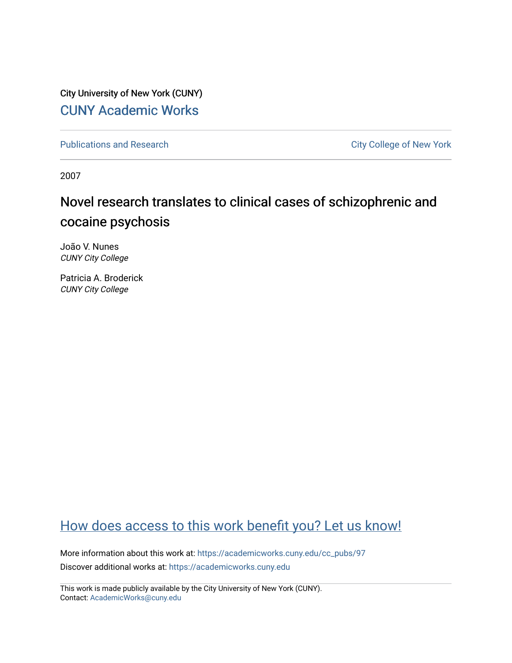City University of New York (CUNY) [CUNY Academic Works](https://academicworks.cuny.edu/) 

[Publications and Research](https://academicworks.cuny.edu/cc_pubs) **City College of New York** Publications and Research

2007

# Novel research translates to clinical cases of schizophrenic and cocaine psychosis

João V. Nunes CUNY City College

Patricia A. Broderick CUNY City College

# [How does access to this work benefit you? Let us know!](http://ols.cuny.edu/academicworks/?ref=https://academicworks.cuny.edu/cc_pubs/97)

More information about this work at: [https://academicworks.cuny.edu/cc\\_pubs/97](https://academicworks.cuny.edu/cc_pubs/97) Discover additional works at: [https://academicworks.cuny.edu](https://academicworks.cuny.edu/?)

This work is made publicly available by the City University of New York (CUNY). Contact: [AcademicWorks@cuny.edu](mailto:AcademicWorks@cuny.edu)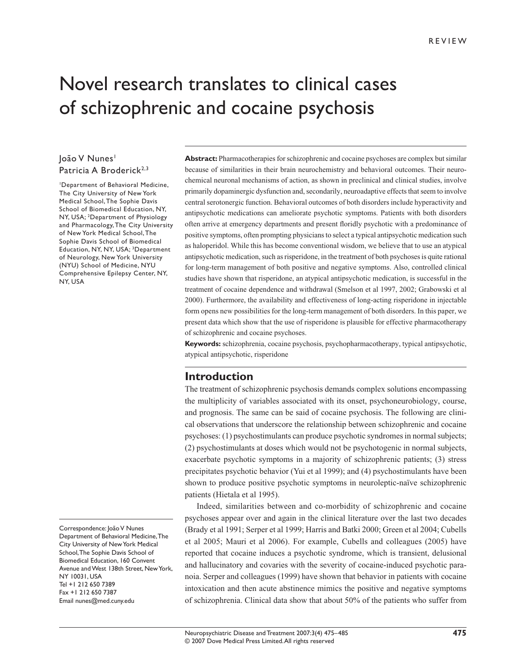# Novel research translates to clinical cases of schizophrenic and cocaine psychosis

#### loão V Nunes<sup>1</sup> Patricia A Broderick<sup>2,3</sup>

1 Department of Behavioral Medicine, The City University of New York Medical School, The Sophie Davis School of Biomedical Education, NY, NY, USA; 2Department of Physiology and Pharmacology, The City University of New York Medical School, The Sophie Davis School of Biomedical Education, NY, NY, USA; 3Department of Neurology, New York University (NYU) School of Medicine, NYU Comprehensive Epilepsy Center, NY, NY, USA

Correspondence: João V Nunes Department of Behavioral Medicine, The City University of New York Medical School, The Sophie Davis School of Biomedical Education, 160 Convent Avenue and West 138th Street, New York, NY 10031, USA Tel +1 212 650 7389 Fax +1 212 650 7387 Email nunes@med.cuny.edu

**Abstract:** Pharmacotherapies for schizophrenic and cocaine psychoses are complex but similar because of similarities in their brain neurochemistry and behavioral outcomes. Their neurochemical neuronal mechanisms of action, as shown in preclinical and clinical studies, involve primarily dopaminergic dysfunction and, secondarily, neuroadaptive effects that seem to involve central serotonergic function. Behavioral outcomes of both disorders include hyperactivity and antipsychotic medications can ameliorate psychotic symptoms. Patients with both disorders often arrive at emergency departments and present floridly psychotic with a predominance of positive symptoms, often prompting physicians to select a typical antipsychotic medication such as haloperidol. While this has become conventional wisdom, we believe that to use an atypical antipsychotic medication, such as risperidone, in the treatment of both psychoses is quite rational for long-term management of both positive and negative symptoms. Also, controlled clinical studies have shown that risperidone, an atypical antipsychotic medication, is successful in the treatment of cocaine dependence and withdrawal (Smelson et al 1997, 2002; Grabowski et al 2000). Furthermore, the availability and effectiveness of long-acting risperidone in injectable form opens new possibilities for the long-term management of both disorders. In this paper, we present data which show that the use of risperidone is plausible for effective pharmacotherapy of schizophrenic and cocaine psychoses.

**Keywords:** schizophrenia, cocaine psychosis, psychopharmacotherapy, typical antipsychotic, atypical antipsychotic, risperidone

#### **Introduction**

The treatment of schizophrenic psychosis demands complex solutions encompassing the multiplicity of variables associated with its onset, psychoneurobiology, course, and prognosis. The same can be said of cocaine psychosis. The following are clinical observations that underscore the relationship between schizophrenic and cocaine psychoses: (1) psychostimulants can produce psychotic syndromes in normal subjects; (2) psychostimulants at doses which would not be psychotogenic in normal subjects, exacerbate psychotic symptoms in a majority of schizophrenic patients; (3) stress precipitates psychotic behavior (Yui et al 1999); and (4) psychostimulants have been shown to produce positive psychotic symptoms in neuroleptic-naïve schizophrenic patients (Hietala et al 1995).

Indeed, similarities between and co-morbidity of schizophrenic and cocaine psychoses appear over and again in the clinical literature over the last two decades (Brady et al 1991; Serper et al 1999; Harris and Batki 2000; Green et al 2004; Cubells et al 2005; Mauri et al 2006). For example, Cubells and colleagues (2005) have reported that cocaine induces a psychotic syndrome, which is transient, delusional and hallucinatory and covaries with the severity of cocaine-induced psychotic paranoia. Serper and colleagues (1999) have shown that behavior in patients with cocaine intoxication and then acute abstinence mimics the positive and negative symptoms of schizophrenia. Clinical data show that about 50% of the patients who suffer from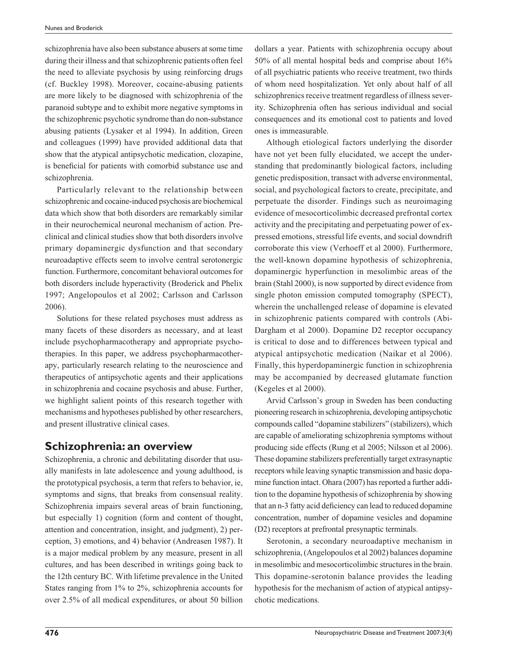schizophrenia have also been substance abusers at some time during their illness and that schizophrenic patients often feel the need to alleviate psychosis by using reinforcing drugs (cf. Buckley 1998). Moreover, cocaine-abusing patients are more likely to be diagnosed with schizophrenia of the paranoid subtype and to exhibit more negative symptoms in the schizophrenic psychotic syndrome than do non-substance abusing patients (Lysaker et al 1994). In addition, Green and colleagues (1999) have provided additional data that show that the atypical antipsychotic medication, clozapine, is beneficial for patients with comorbid substance use and schizophrenia.

Particularly relevant to the relationship between schizophrenic and cocaine-induced psychosis are biochemical data which show that both disorders are remarkably similar in their neurochemical neuronal mechanism of action. Preclinical and clinical studies show that both disorders involve primary dopaminergic dysfunction and that secondary neuroadaptive effects seem to involve central serotonergic function. Furthermore, concomitant behavioral outcomes for both disorders include hyperactivity (Broderick and Phelix 1997; Angelopoulos et al 2002; Carlsson and Carlsson 2006).

Solutions for these related psychoses must address as many facets of these disorders as necessary, and at least include psychopharmacotherapy and appropriate psychotherapies. In this paper, we address psychopharmacotherapy, particularly research relating to the neuroscience and therapeutics of antipsychotic agents and their applications in schizophrenia and cocaine psychosis and abuse. Further, we highlight salient points of this research together with mechanisms and hypotheses published by other researchers, and present illustrative clinical cases.

#### **Schizophrenia: an overview**

Schizophrenia, a chronic and debilitating disorder that usually manifests in late adolescence and young adulthood, is the prototypical psychosis, a term that refers to behavior, ie, symptoms and signs, that breaks from consensual reality. Schizophrenia impairs several areas of brain functioning, but especially 1) cognition (form and content of thought, attention and concentration, insight, and judgment), 2) perception, 3) emotions, and 4) behavior (Andreasen 1987). It is a major medical problem by any measure, present in all cultures, and has been described in writings going back to the 12th century BC. With lifetime prevalence in the United States ranging from 1% to 2%, schizophrenia accounts for over 2.5% of all medical expenditures, or about 50 billion dollars a year. Patients with schizophrenia occupy about 50% of all mental hospital beds and comprise about 16% of all psychiatric patients who receive treatment, two thirds of whom need hospitalization. Yet only about half of all schizophrenics receive treatment regardless of illness severity. Schizophrenia often has serious individual and social consequences and its emotional cost to patients and loved ones is immeasurable.

Although etiological factors underlying the disorder have not yet been fully elucidated, we accept the understanding that predominantly biological factors, including genetic predisposition, transact with adverse environmental, social, and psychological factors to create, precipitate, and perpetuate the disorder. Findings such as neuroimaging evidence of mesocorticolimbic decreased prefrontal cortex activity and the precipitating and perpetuating power of expressed emotions, stressful life events, and social downdrift corroborate this view (Verhoeff et al 2000). Furthermore, the well-known dopamine hypothesis of schizophrenia, dopaminergic hyperfunction in mesolimbic areas of the brain (Stahl 2000), is now supported by direct evidence from single photon emission computed tomography (SPECT), wherein the unchallenged release of dopamine is elevated in schizophrenic patients compared with controls (Abi-Dargham et al 2000). Dopamine D2 receptor occupancy is critical to dose and to differences between typical and atypical antipsychotic medication (Naikar et al 2006). Finally, this hyperdopaminergic function in schizophrenia may be accompanied by decreased glutamate function (Kegeles et al 2000).

Arvid Carlsson's group in Sweden has been conducting pioneering research in schizophrenia, developing antipsychotic compounds called "dopamine stabilizers" (stabilizers), which are capable of ameliorating schizophrenia symptoms without producing side effects (Rung et al 2005; Nilsson et al 2006). These dopamine stabilizers preferentially target extrasynaptic receptors while leaving synaptic transmission and basic dopamine function intact. Ohara (2007) has reported a further addition to the dopamine hypothesis of schizophrenia by showing that an n-3 fatty acid deficiency can lead to reduced dopamine concentration, number of dopamine vesicles and dopamine (D2) receptors at prefrontal presynaptic terminals.

Serotonin, a secondary neuroadaptive mechanism in schizophrenia, (Angelopoulos et al 2002) balances dopamine in mesolimbic and mesocorticolimbic structures in the brain. This dopamine-serotonin balance provides the leading hypothesis for the mechanism of action of atypical antipsychotic medications.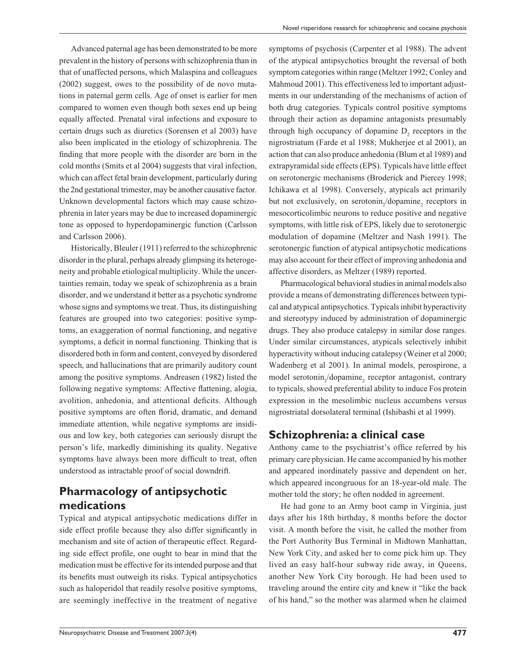Advanced paternal age has been demonstrated to be more prevalent in the history of persons with schizophrenia than in that of unaffected persons, which Malaspina and colleagues (2002) suggest, owes to the possibility of de novo mutations in paternal germ cells. Age of onset is earlier for men compared to women even though both sexes end up being equally affected. Prenatal viral infections and exposure to certain drugs such as diuretics (Sorensen et al 2003) have also been implicated in the etiology of schizophrenia. The finding that more people with the disorder are born in the cold months (Smits et al 2004) suggests that viral infection, which can affect fetal brain development, particularly during the 2nd gestational trimester, may be another causative factor. Unknown developmental factors which may cause schizophrenia in later years may be due to increased dopaminergic tone as opposed to hyperdopaminergic function (Carlsson and Carlsson 2006).

Historically, Bleuler (1911) referred to the schizophrenic disorder in the plural, perhaps already glimpsing its heterogeneity and probable etiological multiplicity. While the uncertainties remain, today we speak of schizophrenia as a brain disorder, and we understand it better as a psychotic syndrome whose signs and symptoms we treat. Thus, its distinguishing features are grouped into two categories: positive symptoms, an exaggeration of normal functioning, and negative symptoms, a deficit in normal functioning. Thinking that is disordered both in form and content, conveyed by disordered speech, and hallucinations that are primarily auditory count among the positive symptoms. Andreasen (1982) listed the following negative symptoms: Affective flattening, alogia, avolition, anhedonia, and attentional deficits. Although positive symptoms are often florid, dramatic, and demand immediate attention, while negative symptoms are insidious and low key, both categories can seriously disrupt the person's life, markedly diminishing its quality. Negative symptoms have always been more difficult to treat, often understood as intractable proof of social downdrift.

# **Pharmacology of antipsychotic medications**

Typical and atypical antipsychotic medications differ in side effect profile because they also differ significantly in mechanism and site of action of therapeutic effect. Regarding side effect profile, one ought to bear in mind that the medication must be effective for its intended purpose and that its benefits must outweigh its risks. Typical antipsychotics such as haloperidol that readily resolve positive symptoms, are seemingly ineffective in the treatment of negative symptoms of psychosis (Carpenter et al 1988). The advent of the atypical antipsychotics brought the reversal of both symptom categories within range (Meltzer 1992; Conley and Mahmoud 2001). This effectiveness led to important adjustments in our understanding of the mechanisms of action of both drug categories. Typicals control positive symptoms through their action as dopamine antagonists presumably through high occupancy of dopamine  $D_2$  receptors in the nigrostriatum (Farde et al 1988; Mukherjee et al 2001), an action that can also produce anhedonia (Blum et al 1989) and extrapyramidal side effects (EPS). Typicals have little effect on serotonergic mechanisms (Broderick and Piercey 1998; Ichikawa et al 1998). Conversely, atypicals act primarily but not exclusively, on serotonin<sub>2</sub>/dopamine<sub>2</sub> receptors in mesocorticolimbic neurons to reduce positive and negative symptoms, with little risk of EPS, likely due to serotonergic modulation of dopamine (Meltzer and Nash 1991). The serotonergic function of atypical antipsychotic medications may also account for their effect of improving anhedonia and affective disorders, as Meltzer (1989) reported.

Pharmacological behavioral studies in animal models also provide a means of demonstrating differences between typical and atypical antipsychotics. Typicals inhibit hyperactivity and stereotypy induced by administration of dopaminergic drugs. They also produce catalepsy in similar dose ranges. Under similar circumstances, atypicals selectively inhibit hyperactivity without inducing catalepsy (Weiner et al 2000; Wadenberg et al 2001). In animal models, perospirone, a model serotonin<sub>2</sub>/dopamine<sub>2</sub> receptor antagonist, contrary to typicals, showed preferential ability to induce Fos protein expression in the mesolimbic nucleus accumbens versus nigrostriatal dorsolateral terminal (Ishibashi et al 1999).

## **Schizophrenia: a clinical case**

Anthony came to the psychiatrist's office referred by his primary care physician. He came accompanied by his mother and appeared inordinately passive and dependent on her, which appeared incongruous for an 18-year-old male. The mother told the story; he often nodded in agreement.

He had gone to an Army boot camp in Virginia, just days after his 18th birthday, 8 months before the doctor visit. A month before the visit, he called the mother from the Port Authority Bus Terminal in Midtown Manhattan, New York City, and asked her to come pick him up. They lived an easy half-hour subway ride away, in Queens, another New York City borough. He had been used to traveling around the entire city and knew it "like the back of his hand," so the mother was alarmed when he claimed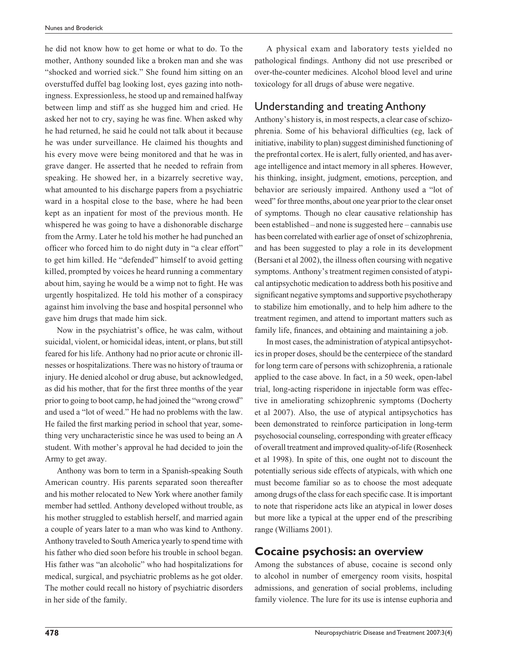he did not know how to get home or what to do. To the mother, Anthony sounded like a broken man and she was "shocked and worried sick." She found him sitting on an overstuffed duffel bag looking lost, eyes gazing into nothingness. Expressionless, he stood up and remained halfway between limp and stiff as she hugged him and cried. He asked her not to cry, saying he was fine. When asked why he had returned, he said he could not talk about it because he was under surveillance. He claimed his thoughts and his every move were being monitored and that he was in grave danger. He asserted that he needed to refrain from speaking. He showed her, in a bizarrely secretive way, what amounted to his discharge papers from a psychiatric ward in a hospital close to the base, where he had been kept as an inpatient for most of the previous month. He whispered he was going to have a dishonorable discharge from the Army. Later he told his mother he had punched an officer who forced him to do night duty in "a clear effort" to get him killed. He "defended" himself to avoid getting killed, prompted by voices he heard running a commentary about him, saying he would be a wimp not to fight. He was urgently hospitalized. He told his mother of a conspiracy against him involving the base and hospital personnel who gave him drugs that made him sick.

Now in the psychiatrist's office, he was calm, without suicidal, violent, or homicidal ideas, intent, or plans, but still feared for his life. Anthony had no prior acute or chronic illnesses or hospitalizations. There was no history of trauma or injury. He denied alcohol or drug abuse, but acknowledged, as did his mother, that for the first three months of the year prior to going to boot camp, he had joined the "wrong crowd" and used a "lot of weed." He had no problems with the law. He failed the first marking period in school that year, something very uncharacteristic since he was used to being an A student. With mother's approval he had decided to join the Army to get away.

Anthony was born to term in a Spanish-speaking South American country. His parents separated soon thereafter and his mother relocated to New York where another family member had settled. Anthony developed without trouble, as his mother struggled to establish herself, and married again a couple of years later to a man who was kind to Anthony. Anthony traveled to South America yearly to spend time with his father who died soon before his trouble in school began. His father was "an alcoholic" who had hospitalizations for medical, surgical, and psychiatric problems as he got older. The mother could recall no history of psychiatric disorders in her side of the family.

A physical exam and laboratory tests yielded no pathological findings. Anthony did not use prescribed or over-the-counter medicines. Alcohol blood level and urine toxicology for all drugs of abuse were negative.

#### Understanding and treating Anthony

Anthony's history is, in most respects, a clear case of schizophrenia. Some of his behavioral difficulties (eg, lack of initiative, inability to plan) suggest diminished functioning of the prefrontal cortex. He is alert, fully oriented, and has average intelligence and intact memory in all spheres. However, his thinking, insight, judgment, emotions, perception, and behavior are seriously impaired. Anthony used a "lot of weed" for three months, about one year prior to the clear onset of symptoms. Though no clear causative relationship has been established – and none is suggested here – cannabis use has been correlated with earlier age of onset of schizophrenia, and has been suggested to play a role in its development (Bersani et al 2002), the illness often coursing with negative symptoms. Anthony's treatment regimen consisted of atypical antipsychotic medication to address both his positive and significant negative symptoms and supportive psychotherapy to stabilize him emotionally, and to help him adhere to the treatment regimen, and attend to important matters such as family life, finances, and obtaining and maintaining a job.

In most cases, the administration of atypical antipsychotics in proper doses, should be the centerpiece of the standard for long term care of persons with schizophrenia, a rationale applied to the case above. In fact, in a 50 week, open-label trial, long-acting risperidone in injectable form was effective in ameliorating schizophrenic symptoms (Docherty et al 2007). Also, the use of atypical antipsychotics has been demonstrated to reinforce participation in long-term psychosocial counseling, corresponding with greater efficacy of overall treatment and improved quality-of-life (Rosenheck et al 1998). In spite of this, one ought not to discount the potentially serious side effects of atypicals, with which one must become familiar so as to choose the most adequate among drugs of the class for each specific case. It is important to note that risperidone acts like an atypical in lower doses but more like a typical at the upper end of the prescribing range (Williams 2001).

#### **Cocaine psychosis: an overview**

Among the substances of abuse, cocaine is second only to alcohol in number of emergency room visits, hospital admissions, and generation of social problems, including family violence. The lure for its use is intense euphoria and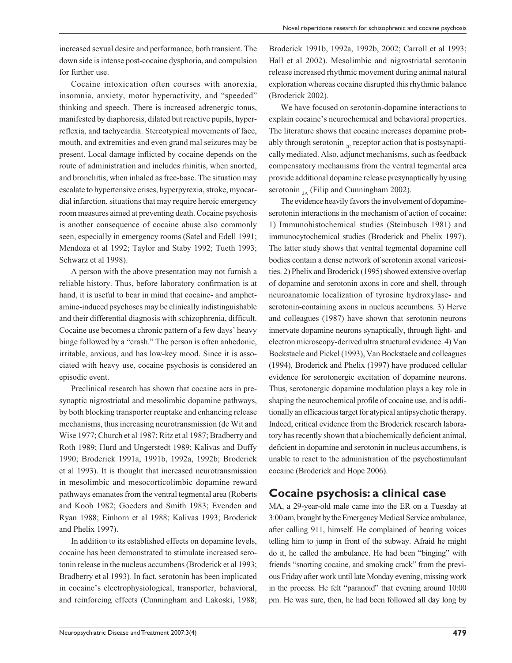increased sexual desire and performance, both transient. The down side is intense post-cocaine dysphoria, and compulsion for further use.

Cocaine intoxication often courses with anorexia, insomnia, anxiety, motor hyperactivity, and "speeded" thinking and speech. There is increased adrenergic tonus, manifested by diaphoresis, dilated but reactive pupils, hyperreflexia, and tachycardia. Stereotypical movements of face, mouth, and extremities and even grand mal seizures may be present. Local damage inflicted by cocaine depends on the route of administration and includes rhinitis, when snorted, and bronchitis, when inhaled as free-base. The situation may escalate to hypertensive crises, hyperpyrexia, stroke, myocardial infarction, situations that may require heroic emergency room measures aimed at preventing death. Cocaine psychosis is another consequence of cocaine abuse also commonly seen, especially in emergency rooms (Satel and Edell 1991; Mendoza et al 1992; Taylor and Staby 1992; Tueth 1993; Schwarz et al 1998).

A person with the above presentation may not furnish a reliable history. Thus, before laboratory confirmation is at hand, it is useful to bear in mind that cocaine- and amphetamine-induced psychoses may be clinically indistinguishable and their differential diagnosis with schizophrenia, difficult. Cocaine use becomes a chronic pattern of a few days' heavy binge followed by a "crash." The person is often anhedonic, irritable, anxious, and has low-key mood. Since it is associated with heavy use, cocaine psychosis is considered an episodic event.

Preclinical research has shown that cocaine acts in presynaptic nigrostriatal and mesolimbic dopamine pathways, by both blocking transporter reuptake and enhancing release mechanisms, thus increasing neurotransmission (de Wit and Wise 1977; Church et al 1987; Ritz et al 1987; Bradberry and Roth 1989; Hurd and Ungerstedt 1989; Kalivas and Duffy 1990; Broderick 1991a, 1991b, 1992a, 1992b; Broderick et al 1993). It is thought that increased neurotransmission in mesolimbic and mesocorticolimbic dopamine reward pathways emanates from the ventral tegmental area (Roberts and Koob 1982; Goeders and Smith 1983; Evenden and Ryan 1988; Einhorn et al 1988; Kalivas 1993; Broderick and Phelix 1997).

In addition to its established effects on dopamine levels, cocaine has been demonstrated to stimulate increased serotonin release in the nucleus accumbens (Broderick et al 1993; Bradberry et al 1993). In fact, serotonin has been implicated in cocaine's electrophysiological, transporter, behavioral, and reinforcing effects (Cunningham and Lakoski, 1988; Broderick 1991b, 1992a, 1992b, 2002; Carroll et al 1993; Hall et al 2002). Mesolimbic and nigrostriatal serotonin release increased rhythmic movement during animal natural exploration whereas cocaine disrupted this rhythmic balance (Broderick 2002).

We have focused on serotonin-dopamine interactions to explain cocaine's neurochemical and behavioral properties. The literature shows that cocaine increases dopamine probably through serotonin  $_{2C}$  receptor action that is postsynaptically mediated. Also, adjunct mechanisms, such as feedback compensatory mechanisms from the ventral tegmental area provide additional dopamine release presynaptically by using serotonin  $_{24}$  (Filip and Cunningham 2002).

The evidence heavily favors the involvement of dopamineserotonin interactions in the mechanism of action of cocaine: 1) Immunohistochemical studies (Steinbusch 1981) and immunocytochemical studies (Broderick and Phelix 1997). The latter study shows that ventral tegmental dopamine cell bodies contain a dense network of serotonin axonal varicosities. 2) Phelix and Broderick (1995) showed extensive overlap of dopamine and serotonin axons in core and shell, through neuroanatomic localization of tyrosine hydroxylase- and serotonin-containing axons in nucleus accumbens. 3) Herve and colleagues (1987) have shown that serotonin neurons innervate dopamine neurons synaptically, through light- and electron microscopy-derived ultra structural evidence. 4) Van Bockstaele and Pickel (1993), Van Bockstaele and colleagues (1994), Broderick and Phelix (1997) have produced cellular evidence for serotonergic excitation of dopamine neurons. Thus, serotonergic dopamine modulation plays a key role in shaping the neurochemical profile of cocaine use, and is additionally an efficacious target for atypical antipsychotic therapy. Indeed, critical evidence from the Broderick research laboratory has recently shown that a biochemically deficient animal, deficient in dopamine and serotonin in nucleus accumbens, is unable to react to the administration of the psychostimulant cocaine (Broderick and Hope 2006).

### **Cocaine psychosis: a clinical case**

MA, a 29-year-old male came into the ER on a Tuesday at 3:00 am, brought by the Emergency Medical Service ambulance, after calling 911, himself. He complained of hearing voices telling him to jump in front of the subway. Afraid he might do it, he called the ambulance. He had been "binging" with friends "snorting cocaine, and smoking crack" from the previous Friday after work until late Monday evening, missing work in the process. He felt "paranoid" that evening around 10:00 pm. He was sure, then, he had been followed all day long by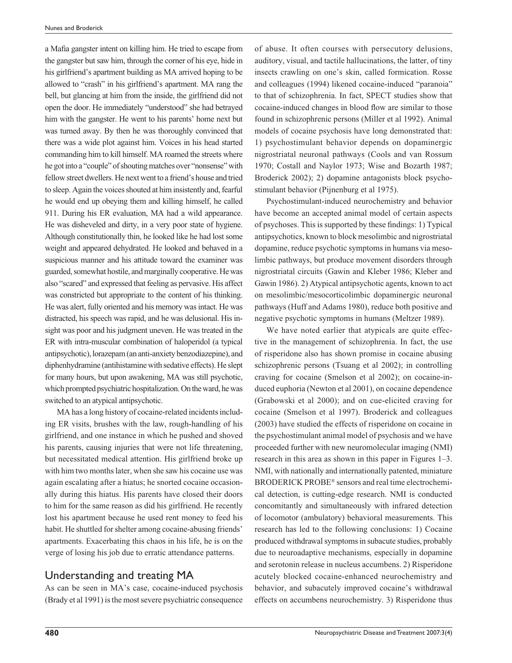a Mafia gangster intent on killing him. He tried to escape from the gangster but saw him, through the corner of his eye, hide in his girlfriend's apartment building as MA arrived hoping to be allowed to "crash" in his girlfriend's apartment. MA rang the bell, but glancing at him from the inside, the girlfriend did not open the door. He immediately "understood" she had betrayed him with the gangster. He went to his parents' home next but was turned away. By then he was thoroughly convinced that there was a wide plot against him. Voices in his head started commanding him to kill himself. MA roamed the streets where he got into a "couple" of shouting matches over "nonsense" with fellow street dwellers. He next went to a friend's house and tried to sleep. Again the voices shouted at him insistently and, fearful he would end up obeying them and killing himself, he called 911. During his ER evaluation, MA had a wild appearance. He was disheveled and dirty, in a very poor state of hygiene. Although constitutionally thin, he looked like he had lost some weight and appeared dehydrated. He looked and behaved in a suspicious manner and his attitude toward the examiner was guarded, somewhat hostile, and marginally cooperative. He was also "scared" and expressed that feeling as pervasive. His affect was constricted but appropriate to the content of his thinking. He was alert, fully oriented and his memory was intact. He was distracted, his speech was rapid, and he was delusional. His insight was poor and his judgment uneven. He was treated in the ER with intra-muscular combination of haloperidol (a typical antipsychotic), lorazepam (an anti-anxiety benzodiazepine), and diphenhydramine (antihistamine with sedative effects). He slept for many hours, but upon awakening, MA was still psychotic, which prompted psychiatric hospitalization. On the ward, he was switched to an atypical antipsychotic.

MA has a long history of cocaine-related incidents including ER visits, brushes with the law, rough-handling of his girlfriend, and one instance in which he pushed and shoved his parents, causing injuries that were not life threatening, but necessitated medical attention. His girlfriend broke up with him two months later, when she saw his cocaine use was again escalating after a hiatus; he snorted cocaine occasionally during this hiatus. His parents have closed their doors to him for the same reason as did his girlfriend. He recently lost his apartment because he used rent money to feed his habit. He shuttled for shelter among cocaine-abusing friends' apartments. Exacerbating this chaos in his life, he is on the verge of losing his job due to erratic attendance patterns.

#### Understanding and treating MA

As can be seen in MA's case, cocaine-induced psychosis (Brady et al 1991) is the most severe psychiatric consequence of abuse. It often courses with persecutory delusions, auditory, visual, and tactile hallucinations, the latter, of tiny insects crawling on one's skin, called formication. Rosse and colleagues (1994) likened cocaine-induced "paranoia" to that of schizophrenia. In fact, SPECT studies show that cocaine-induced changes in blood flow are similar to those found in schizophrenic persons (Miller et al 1992). Animal models of cocaine psychosis have long demonstrated that: 1) psychostimulant behavior depends on dopaminergic nigrostriatal neuronal pathways (Cools and van Rossum 1970; Costall and Naylor 1973; Wise and Bozarth 1987; Broderick 2002); 2) dopamine antagonists block psychostimulant behavior (Pijnenburg et al 1975).

Psychostimulant-induced neurochemistry and behavior have become an accepted animal model of certain aspects of psychoses. This is supported by these findings: 1) Typical antipsychotics, known to block mesolimbic and nigrostriatal dopamine, reduce psychotic symptoms in humans via mesolimbic pathways, but produce movement disorders through nigrostriatal circuits (Gawin and Kleber 1986; Kleber and Gawin 1986). 2) Atypical antipsychotic agents, known to act on mesolimbic/mesocorticolimbic dopaminergic neuronal pathways (Huff and Adams 1980), reduce both positive and negative psychotic symptoms in humans (Meltzer 1989).

We have noted earlier that atypicals are quite effective in the management of schizophrenia. In fact, the use of risperidone also has shown promise in cocaine abusing schizophrenic persons (Tsuang et al 2002); in controlling craving for cocaine (Smelson et al 2002); on cocaine-induced euphoria (Newton et al 2001), on cocaine dependence (Grabowski et al 2000); and on cue-elicited craving for cocaine (Smelson et al 1997). Broderick and colleagues (2003) have studied the effects of risperidone on cocaine in the psychostimulant animal model of psychosis and we have proceeded further with new neuromolecular imaging (NMI) research in this area as shown in this paper in Figures 1–3. NMI, with nationally and internationally patented, miniature BRODERICK PROBE® sensors and real time electrochemical detection, is cutting-edge research. NMI is conducted concomitantly and simultaneously with infrared detection of locomotor (ambulatory) behavioral measurements. This research has led to the following conclusions: 1) Cocaine produced withdrawal symptoms in subacute studies, probably due to neuroadaptive mechanisms, especially in dopamine and serotonin release in nucleus accumbens. 2) Risperidone acutely blocked cocaine-enhanced neurochemistry and behavior, and subacutely improved cocaine's withdrawal effects on accumbens neurochemistry. 3) Risperidone thus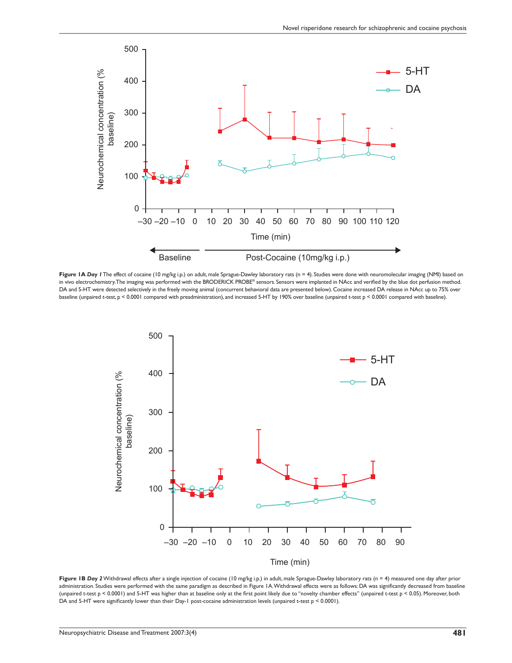

Figure 1A Day *1* The effect of cocaine (10 mg/kg i.p.) on adult, male Sprague-Dawley laboratory rats (n = 4). Studies were done with neuromolecular imaging (NMI) based on in vivo electrochemistry. The imaging was performed with the BRODERICK PROBE® sensors. Sensors were implanted in NAcc and verifi ed by the blue dot perfusion method. DA and 5-HT were detected selectively in the freely moving animal (concurrent behavioral data are presented below). Cocaine increased DA release in NAcc up to 75% over baseline (unpaired t-test, p < 0.0001 compared with preadministration), and increased 5-HT by 190% over baseline (unpaired t-test p < 0.0001 compared with baseline).



Figure 1B Day 2 Withdrawal effects after a single injection of cocaine (10 mg/kg i.p.) in adult, male Sprague-Dawley laboratory rats (n = 4) measured one day after prior administration. Studies were performed with the same paradigm as described in Figure 1A. Withdrawal effects were as follows: DA was significantly decreased from baseline (unpaired t-test p < 0.0001) and 5-HT was higher than at baseline only at the first point likely due to "novelty chamber effects" (unpaired t-test p < 0.05). Moreover, both DA and 5-HT were significantly lower than their Day-1 post-cocaine administration levels (unpaired t-test  $p < 0.0001$ ).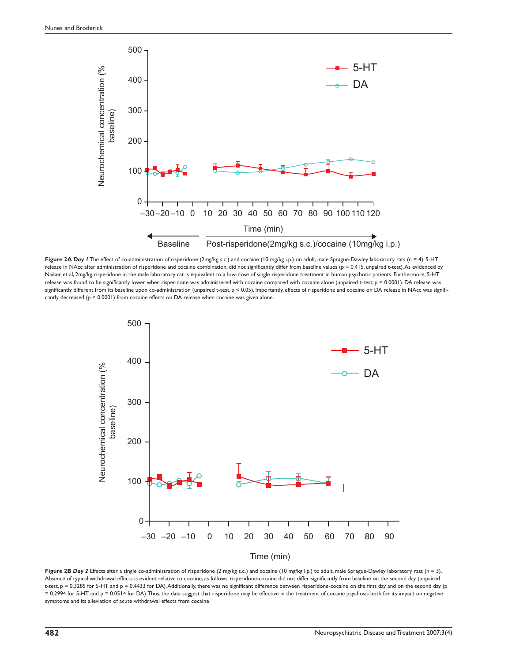

Figure 2A Day *I* The effect of co-administration of risperidone (2mg/kg s.c.) and cocaine (10 mg/kg i.p.) on adult, male Sprague-Dawley laboratory rats (n = 4). 5-HT release in NAcc after administration of risperidone and cocaine combination, did not significantly differ from baseline values (p = 0.415, unpaired t-test). As evidenced by Naiker, et al, 2mg/kg risperidone in the male laboratory rat is equivalent to a low-dose of single risperidone treatment in human psychotic patients. Furthermore, 5-HT release was found to be significantly lower when risperidone was administered with cocaine compared with cocaine alone (unpaired t-test, p < 0.0001). DA release was significantly different from its baseline upon co-administration (unpaired t-test, p < 0.05). Importantly, effects of risperidone and cocaine on DA release in NAcc was significantly decreased (p < 0.0001) from cocaine effects on DA release when cocaine was given alone.



Figure 2B Day 2 Effects after a single co-administration of risperidone (2 mg/kg s.c.) and cocaine (10 mg/kg i.p.) to adult, male Sprague-Dawley laboratory rats (n = 3). Absence of typical withdrawal effects is evident relative to cocaine, as follows: risperidone-cocaine did not differ significantly from baseline on the second day (unpaired t-test, p = 0.3285 for 5-HT and p = 0.4433 for DA). Additionally, there was no significant difference between risperidone-cocaine on the first day and on the second day (p = 0.2994 for 5-HT and p = 0.0514 for DA). Thus, the data suggest that risperidone may be effective in the treatment of cocaine psychosis both for its impact on negative symptoms and its alleviation of acute withdrawal effects from cocaine.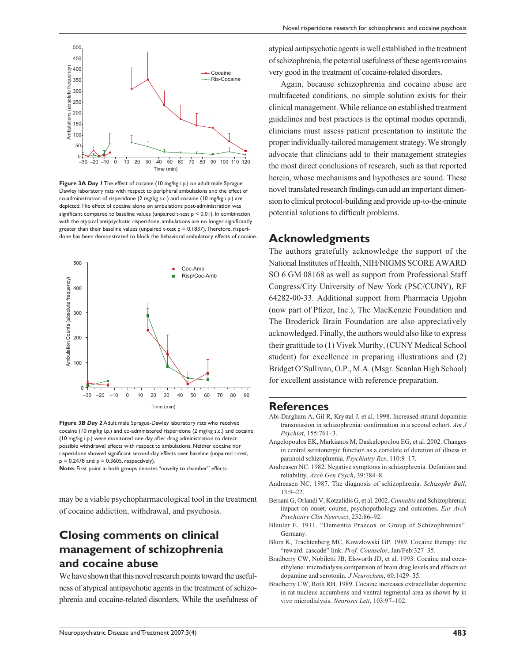

**Figure 3A** *Day 1* The effect of cocaine (10 mg/kg i.p.) on adult male Sprague Dawley laboratory rats with respect to peripheral ambulations and the effect of co-administration of risperidone (2 mg/kg s.c.) and cocaine (10 mg/kg i.p.) are depicted. The effect of cocaine alone on ambulations post-administration was significant compared to baseline values (unpaired t-test  $p \leq 0.01$ ). In combination with the atypical antipsychotic risperidone, ambulations are no longer significantly greater than their baseline values (unpaired t-test  $p = 0.1837$ ). Therefore, risperidone has been demonstrated to block the behavioral ambulatory effects of cocaine.



**Figure 3B** *Day 2* Adult male Sprague-Dawley laboratory rats who received cocaine (10 mg/kg i.p.) and co-administered risperidone (2 mg/kg s.c.) and cocaine (10 mg/kg i.p.) were monitored one day after drug administration to detect possible withdrawal effects with respect to ambulations. Neither cocaine nor risperidone showed significant second-day effects over baseline (unpaired t-test,  $p = 0.2478$  and  $p = 0.3605$ , respectively).

**Note:** First point in both groups denotes "novelty to chamber" effects.

may be a viable psychopharmacological tool in the treatment of cocaine addiction, withdrawal, and psychosis.

## **Closing comments on clinical management of schizophrenia and cocaine abuse**

We have shown that this novel research points toward the usefulness of atypical antipsychotic agents in the treatment of schizophrenia and cocaine-related disorders. While the usefulness of atypical antipsychotic agents is well established in the treatment of schizophrenia, the potential usefulness of these agents remains very good in the treatment of cocaine-related disorders.

Again, because schizophrenia and cocaine abuse are multifaceted conditions, no simple solution exists for their clinical management. While reliance on established treatment guidelines and best practices is the optimal modus operandi, clinicians must assess patient presentation to institute the proper individually-tailored management strategy. We strongly advocate that clinicians add to their management strategies the most direct conclusions of research, such as that reported herein, whose mechanisms and hypotheses are sound. These novel translated research findings can add an important dimension to clinical protocol-building and provide up-to-the-minute potential solutions to difficult problems.

#### **Acknowledgments**

The authors gratefully acknowledge the support of the National Institutes of Health, NIH/NIGMS SCORE AWARD SO 6 GM 08168 as well as support from Professional Staff Congress/City University of New York (PSC/CUNY), RF 64282-00-33. Additional support from Pharmacia Upjohn (now part of Pfizer, Inc.), The MacKenzie Foundation and The Broderick Brain Foundation are also appreciatively acknowledged. Finally, the authors would also like to express their gratitude to (1) Vivek Murthy, (CUNY Medical School student) for excellence in preparing illustrations and (2) Bridget O'Sullivan, O.P., M.A. (Msgr. Scanlan High School) for excellent assistance with reference preparation.

#### **References**

- Abi-Dargham A, Gil R, Krystal J, et al. 1998. Increased striatal dopamine transmission in schizophrenia: confirmation in a second cohort. *Am J Psychiat*, 155:761–3.
- Angelopoulos EK, Markianos M, Daskalopoulou EG, et al. 2002. Changes in central serotonergic function as a correlate of duration of illness in paranoid schizophrenia. *Psychiatry Res*, 110:9–17.
- Andreasen NC. 1982. Negative symptoms in schizophrenia. Definition and reliability. *Arch Gen Psych*, 39:784–8.
- Andreasen NC. 1987. The diagnosis of schizophrenia. *Schizophr Bull*, 13:9–22.
- Bersani G, Orlandi V, Kotzalidis G, et al. 2002. *Cannabis* and Schizophrenia: impact on onset, course, psychopathology and outcomes. *Eur Arch Psychiatry Clin Neurosci*, 252:86–92.
- Bleuler E. 1911. "Dementia Praecox or Group of Schizophrenias". Germany.
- Blum K, Trachtenberg MC, Kowzlowski GP. 1989. Cocaine therapy: the "reward. cascade" link. *Prof. Counselor*, Jan/Feb:327–35.
- Bradberry CW, Nobiletti JB, Elsworth JD, et al. 1993. Cocaine and cocaethylene: microdialysis comparison of brain drug levels and effects on dopamine and serotonin. *J Neurochem*, 60:1429–35.
- Bradberry CW, Roth RH. 1989. Cocaine increases extracellular dopamine in rat nucleus accumbens and ventral tegmental area as shown by in vivo microdialysis. *Neurosci Lett*, 103:97–102.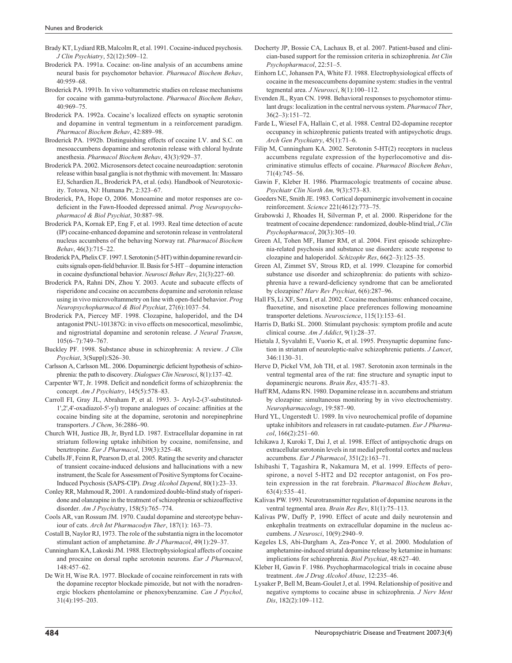Brady KT, Lydiard RB, Malcolm R, et al. 1991. Cocaine-induced psychosis. *J Clin Psychiatry*, 52(12):509–12.

- Broderick PA. 1991a. Cocaine: on-line analysis of an accumbens amine neural basis for psychomotor behavior. *Pharmacol Biochem Behav*, 40:959–68.
- Broderick PA. 1991b. In vivo voltammetric studies on release mechanisms for cocaine with gamma-butyrolactone. *Pharmacol Biochem Behav*, 40:969–75.
- Broderick PA. 1992a. Cocaine's localized effects on synaptic serotonin and dopamine in ventral tegmentum in a reinforcement paradigm. *Pharmacol Biochem Behav*, 42:889–98.
- Broderick PA. 1992b. Distinguishing effects of cocaine I.V. and S.C. on mesoaccumbens dopamine and serotonin release with chloral hydrate anesthesia. *Pharmacol Biochem Behav*, 43(3):929–37.
- Broderick PA. 2002. Microsensors detect cocaine neuroadaption: serotonin release within basal ganglia is not rhythmic with movement. In: Massaro EJ, Schardien JL, Broderick PA, et al. (eds). Handbook of Neurotoxicity. Totowa, NJ: Humana Pr, 2:323–67.
- Broderick, PA, Hope O, 2006. Monoamine and motor responses are codeficient in the Fawn-Hooded depressed animal. *Prog Neuropsychopharmacol & Biol Psychiat*, 30:887–98.
- Broderick PA, Kornak EP, Eng F, et al. 1993. Real time detection of acute (IP) cocaine-enhanced dopamine and serotonin release in ventrolateral nucleus accumbens of the behaving Norway rat. *Pharmacol Biochem Behav*, 46(3):715–22.
- Broderick PA, Phelix CF. 1997. I. Serotonin (5-HT) within dopamine reward circuits signals open-field behavior. II. Basis for 5-HT – dopamine interaction in cocaine dysfunctional behavior. *Neurosci Behav Rev*, 21(3):227–60.
- Broderick PA, Rahni DN, Zhou Y. 2003. Acute and subacute effects of risperidone and cocaine on accumbens dopamine and serotonin release using in vivo microvoltammetry on line with open-field behavior. Prog *Neuropsychopharmacol & Biol Psychiat*, 27(6):1037–54.
- Broderick PA, Piercey MF. 1998. Clozapine, haloperidol, and the D4 antagonist PNU-101387G: in vivo effects on mesocortical, mesolimbic, and nigrostriatal dopamine and serotonin release. *J Neural Transm*, 105(6–7):749–767.
- Buckley PF. 1998. Substance abuse in schizophrenia: A review. *J Clin Psychiat*, 3(Suppl):S26–30.
- Carlsson A, Carlsson ML. 2006. Dopaminergic deficient hypothesis of schizophrenia: the path to discovery. *Dialogues Clin Neurosci*, 8(1):137–42.
- Carpenter WT, Jr. 1998. Deficit and nondeficit forms of schizophrenia: the concept. *Am J Psychiatry*, 145(5):578–83.
- Carroll FI, Gray JL, Abraham P, et al. 1993. 3- Aryl-2-(3'-substituted- $1',2',4'-oxadiazol-5'-yl$ ) tropane analogues of cocaine: affinities at the cocaine binding site at the dopamine, serotonin and norepinephrine transporters. *J Chem*, 36:2886–90.
- Church WH, Justice JB, Jr, Byrd LD. 1987. Extracellular dopamine in rat striatum following uptake inhibition by cocaine, nomifensine, and benztropine. *Eur J Pharmacol*, 139(3):325–48.
- Cubells JF, Feinn R, Pearson D, et al. 2005. Rating the severity and character of transient cocaine-induced delusions and hallucinations with a new instrument, the Scale for Assessment of Positive Symptoms for Cocaine-Induced Psychosis (SAPS-CIP). *Drug Alcohol Depend*, 80(1):23–33.
- Conley RR, Mahmoud R, 2001. A randomized double-blind study of risperidone and olanzapine in the treatment of schizophrenia or schizoaffective disorder. *Am J Psychi*atry, 158(5):765–774.
- Cools AR, van Rossum JM. 1970. Caudal dopamine and stereotype behaviour of cats. *Arch Int Pharmacodyn Ther*, 187(1): 163–73.
- Costall B, Naylor RJ, 1973. The role of the substantia nigra in the locomotor stimulant action of amphetamine. *Br J Pharmacol*, 49(1):29–37.
- Cunningham KA, Lakoski JM. 1988. Electrophysiological affects of cocaine and procaine on dorsal raphe serotonin neurons. *Eur J Pharmacol*, 148:457–62.
- De Wit H, Wise RA. 1977. Blockade of cocaine reinforcement in rats with the dopamine receptor blockade pimozide, but not with the noradrenergic blockers phentolamine or phenoxybenzamine. *Can J Psychol*, 31(4):195–203.
- Docherty JP, Bossie CA, Lachaux B, et al. 2007. Patient-based and clinician-based support for the remission criteria in schizophrenia. *Int Clin Psychopharmacol*, 22:51–5.
- Einhorn LC, Johansen PA, White FJ. 1988. Electrophysiological effects of cocaine in the mesoaccumbens dopamine system: studies in the ventral tegmental area. *J Neurosci*, 8(1):100–112.
- Evenden JL, Ryan CN. 1998. Behavioral responses to psychomotor stimulant drugs: localization in the central nervous system. *Pharmacol Ther*, 36(2–3):151–72.
- Farde L, Wiesel FA, Hallain C, et al. 1988. Central D2-dopamine receptor occupancy in schizophrenic patients treated with antipsychotic drugs. *Arch Gen Psychiatry*, 45(1):71–6.
- Filip M, Cunningham KA. 2002. Serotonin 5-HT(2) receptors in nucleus accumbens regulate expression of the hyperlocomotive and discriminative stimulus effects of cocaine. *Pharmacol Biochem Behav*, 71(4):745–56.
- Gawin F, Kleber H. 1986. Pharmacologic treatments of cocaine abuse. *Psychiatr Clin North Am,* 9(3):573–83.
- Goeders NE, Smith JE. 1983. Cortical dopaminergic involvement in cocaine reinforcement. *Science* 221(4612):773–75.
- Grabowski J, Rhoades H, Silverman P, et al. 2000. Risperidone for the treatment of cocaine dependence: randomized, double-blind trial, *J Clin Psychopharmacol*, 20(3):305–10.
- Green AI, Tohen MF, Hamer RM, et al. 2004. First episode schizophrenia-related psychosis and substance use disorders: acute response to clozapine and haloperidol. *Schizophr Res*, 66(2–3):125–35.
- Green AI, Zimmet SV, Strous RD, et al. 1999. Clozapine for comorbid substance use disorder and schizophrenia: do patients with schizophrenia have a reward-deficiency syndrome that can be ameliorated by clozapine? *Harv Rev Psychiat*, 6(6):287–96.
- Hall FS, Li XF, Sora I, et al. 2002. Cocaine mechanisms: enhanced cocaine, fluoxetine, and nisoxetine place preferences following monoamine transporter deletions. *Neuroscience*, 115(1):153–61.
- Harris D, Batki SL. 2000. Stimulant psychosis: symptom profile and acute clinical course. *Am J Addict*, 9(1):28–37.
- Hietala J, Syvalahti E, Vuorio K, et al. 1995. Presynaptic dopamine function in striatum of neuroleptic-naïve schizophrenic patients. *J Lancet*, 346:1130–31.
- Herve D, Pickel VM, Joh TH, et al. 1987. Serotonin axon terminals in the ventral tegmental area of the rat: fine structure and synaptic input to dopaminergic neurons. *Brain Res*, 435:71–83.
- Huff RM, Adams RN. 1980. Dopamine release in n. accumbens and striatum by clozapine: simultaneous monitoring by in vivo electrochemistry. *Neuropharmacology*, 19:587–90.
- Hurd YL, Ungerstedt U. 1989. In vivo neurochemical profile of dopamine uptake inhibitors and releasers in rat caudate-putamen. *Eur J Pharmacol*, 166(2):251–60.
- Ichikawa J, Kuroki T, Dai J, et al. 1998. Effect of antipsychotic drugs on extracellular serotonin levels in rat medial prefrontal cortex and nucleus accumbens. *Eur J Pharmacol*, 351(2):163–71.
- Ishibashi T, Tagashira R, Nakamura M, et al. 1999. Effects of perospirone, a novel 5-HT2 and D2 receptor antagonist, on Fos protein expression in the rat forebrain. *Pharmacol Biochem Behav*, 63(4):535–41.
- Kalivas PW. 1993. Neurotransmitter regulation of dopamine neurons in the ventral tegmental area. *Brain Res Rev*, 81(1):75–113.
- Kalivas PW, Duffy P, 1990. Effect of acute and daily neurotensin and enkephalin treatments on extracellular dopamine in the nucleus accumbens. *J Neurosci*, 10(9):2940–9.
- Kegeles LS, Abi-Dargham A, Zea-Ponce Y, et al. 2000. Modulation of amphetamine-induced striatal dopamine release by ketamine in humans: implications for schizophrenia. *Biol Psychiat*, 48:627–40.
- Kleber H, Gawin F. 1986. Psychopharmacological trials in cocaine abuse treatment. *Am J Drug Alcohol Abuse*, 12:235–46.
- Lysaker P, Bell M, Beam-Goulet J, et al. 1994. Relationship of positive and negative symptoms to cocaine abuse in schizophrenia. *J Nerv Ment Dis*, 182(2):109–112.